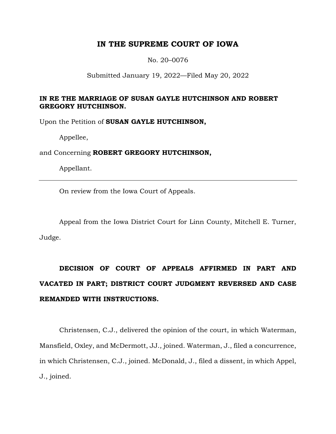# **IN THE SUPREME COURT OF IOWA**

No. 20–0076

Submitted January 19, 2022—Filed May 20, 2022

## **IN RE THE MARRIAGE OF SUSAN GAYLE HUTCHINSON AND ROBERT GREGORY HUTCHINSON.**

Upon the Petition of **SUSAN GAYLE HUTCHINSON,**

Appellee,

and Concerning **ROBERT GREGORY HUTCHINSON,**

Appellant.

On review from the Iowa Court of Appeals.

Appeal from the Iowa District Court for Linn County, Mitchell E. Turner, Judge.

# **DECISION OF COURT OF APPEALS AFFIRMED IN PART AND VACATED IN PART; DISTRICT COURT JUDGMENT REVERSED AND CASE REMANDED WITH INSTRUCTIONS.**

Christensen, C.J., delivered the opinion of the court, in which Waterman, Mansfield, Oxley, and McDermott, JJ., joined. Waterman, J., filed a concurrence, in which Christensen, C.J., joined. McDonald, J., filed a dissent, in which Appel, J., joined.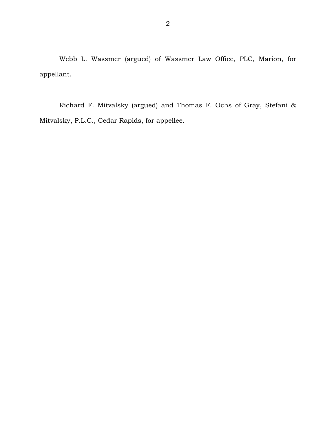Webb L. Wassmer (argued) of Wassmer Law Office, PLC, Marion, for appellant.

Richard F. Mitvalsky (argued) and Thomas F. Ochs of Gray, Stefani & Mitvalsky, P.L.C., Cedar Rapids, for appellee.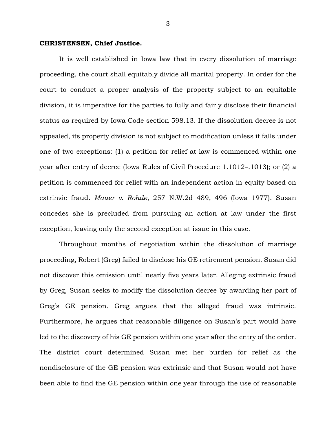### **CHRISTENSEN, Chief Justice.**

It is well established in Iowa law that in every dissolution of marriage proceeding, the court shall equitably divide all marital property. In order for the court to conduct a proper analysis of the property subject to an equitable division, it is imperative for the parties to fully and fairly disclose their financial status as required by Iowa Code section 598.13. If the dissolution decree is not appealed, its property division is not subject to modification unless it falls under one of two exceptions: (1) a petition for relief at law is commenced within one year after entry of decree (Iowa Rules of Civil Procedure 1.1012–.1013); or (2) a petition is commenced for relief with an independent action in equity based on extrinsic fraud. *Mauer v. Rohde*, 257 N.W.2d 489, 496 (Iowa 1977). Susan concedes she is precluded from pursuing an action at law under the first exception, leaving only the second exception at issue in this case.

Throughout months of negotiation within the dissolution of marriage proceeding, Robert (Greg) failed to disclose his GE retirement pension. Susan did not discover this omission until nearly five years later. Alleging extrinsic fraud by Greg, Susan seeks to modify the dissolution decree by awarding her part of Greg's GE pension. Greg argues that the alleged fraud was intrinsic. Furthermore, he argues that reasonable diligence on Susan's part would have led to the discovery of his GE pension within one year after the entry of the order. The district court determined Susan met her burden for relief as the nondisclosure of the GE pension was extrinsic and that Susan would not have been able to find the GE pension within one year through the use of reasonable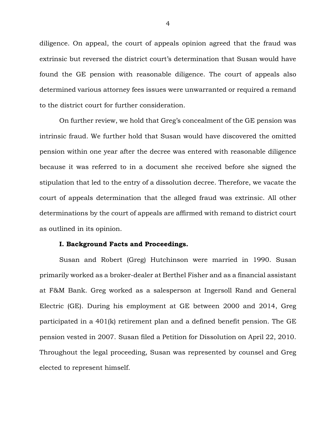diligence. On appeal, the court of appeals opinion agreed that the fraud was extrinsic but reversed the district court's determination that Susan would have found the GE pension with reasonable diligence. The court of appeals also determined various attorney fees issues were unwarranted or required a remand to the district court for further consideration.

On further review, we hold that Greg's concealment of the GE pension was intrinsic fraud. We further hold that Susan would have discovered the omitted pension within one year after the decree was entered with reasonable diligence because it was referred to in a document she received before she signed the stipulation that led to the entry of a dissolution decree. Therefore, we vacate the court of appeals determination that the alleged fraud was extrinsic. All other determinations by the court of appeals are affirmed with remand to district court as outlined in its opinion.

#### **I. Background Facts and Proceedings.**

Susan and Robert (Greg) Hutchinson were married in 1990. Susan primarily worked as a broker-dealer at Berthel Fisher and as a financial assistant at F&M Bank. Greg worked as a salesperson at Ingersoll Rand and General Electric (GE). During his employment at GE between 2000 and 2014, Greg participated in a 401(k) retirement plan and a defined benefit pension. The GE pension vested in 2007. Susan filed a Petition for Dissolution on April 22, 2010. Throughout the legal proceeding, Susan was represented by counsel and Greg elected to represent himself.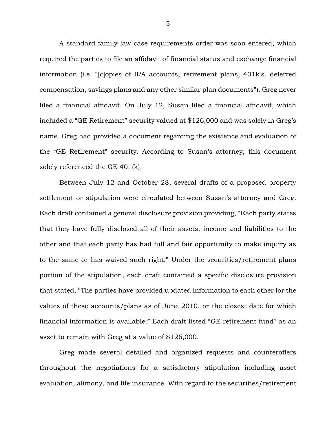A standard family law case requirements order was soon entered, which required the parties to file an affidavit of financial status and exchange financial information (i.e. "[c]opies of IRA accounts, retirement plans, 401k's, deferred compensation, savings plans and any other similar plan documents"). Greg never filed a financial affidavit. On July 12, Susan filed a financial affidavit, which included a "GE Retirement" security valued at \$126,000 and was solely in Greg's name. Greg had provided a document regarding the existence and evaluation of the "GE Retirement" security. According to Susan's attorney, this document solely referenced the GE 401(k).

Between July 12 and October 28, several drafts of a proposed property settlement or stipulation were circulated between Susan's attorney and Greg. Each draft contained a general disclosure provision providing, "Each party states that they have fully disclosed all of their assets, income and liabilities to the other and that each party has had full and fair opportunity to make inquiry as to the same or has waived such right." Under the securities/retirement plans portion of the stipulation, each draft contained a specific disclosure provision that stated, "The parties have provided updated information to each other for the values of these accounts/plans as of June 2010, or the closest date for which financial information is available." Each draft listed "GE retirement fund" as an asset to remain with Greg at a value of \$126,000.

Greg made several detailed and organized requests and counteroffers throughout the negotiations for a satisfactory stipulation including asset evaluation, alimony, and life insurance. With regard to the securities/retirement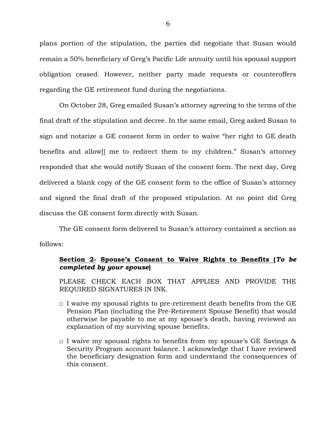plans portion of the stipulation, the parties did negotiate that Susan would remain a 50% beneficiary of Greg's Pacific Life annuity until his spousal support obligation ceased. However, neither party made requests or counteroffers regarding the GE retirement fund during the negotiations.

On October 28, Greg emailed Susan's attorney agreeing to the terms of the final draft of the stipulation and decree. In the same email, Greg asked Susan to sign and notarize a GE consent form in order to waive "her right to GE death benefits and allow[] me to redirect them to my children." Susan's attorney responded that she would notify Susan of the consent form. The next day, Greg delivered a blank copy of the GE consent form to the office of Susan's attorney and signed the final draft of the proposed stipulation. At no point did Greg discuss the GE consent form directly with Susan.

The GE consent form delivered to Susan's attorney contained a section as follows:

## **Section 2- Spouse's Consent to Waive Rights to Benefits (***To be completed by your spouse***)**

PLEASE CHECK EACH BOX THAT APPLIES AND PROVIDE THE REQUIRED SIGNATURES IN INK.

- $\Box$  I waive my spousal rights to pre-retirement death benefits from the GE Pension Plan (including the Pre-Retirement Spouse Benefit) that would otherwise be payable to me at my spouse's death, having reviewed an explanation of my surviving spouse benefits.
- $\Box$  I waive my spousal rights to benefits from my spouse's GE Savings & Security Program account balance. I acknowledge that I have reviewed the beneficiary designation form and understand the consequences of this consent.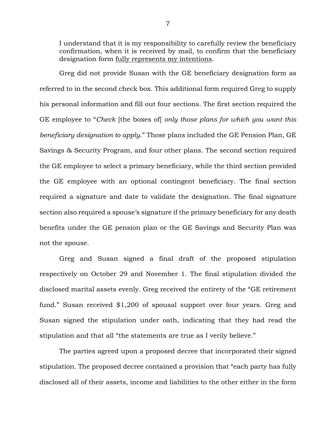I understand that it is my responsibility to carefully review the beneficiary confirmation, when it is received by mail, to confirm that the beneficiary designation form fully represents my intentions.

Greg did not provide Susan with the GE beneficiary designation form as referred to in the second check box. This additional form required Greg to supply his personal information and fill out four sections. The first section required the GE employee to "*Check* [the boxes of] *only those plans for which you want this beneficiary designation to apply*." Those plans included the GE Pension Plan, GE Savings & Security Program, and four other plans. The second section required the GE employee to select a primary beneficiary, while the third section provided the GE employee with an optional contingent beneficiary. The final section required a signature and date to validate the designation. The final signature section also required a spouse's signature if the primary beneficiary for any death benefits under the GE pension plan or the GE Savings and Security Plan was not the spouse.

Greg and Susan signed a final draft of the proposed stipulation respectively on October 29 and November 1. The final stipulation divided the disclosed marital assets evenly. Greg received the entirety of the "GE retirement fund." Susan received \$1,200 of spousal support over four years. Greg and Susan signed the stipulation under oath, indicating that they had read the stipulation and that all "the statements are true as I verily believe."

The parties agreed upon a proposed decree that incorporated their signed stipulation. The proposed decree contained a provision that "each party has fully disclosed all of their assets, income and liabilities to the other either in the form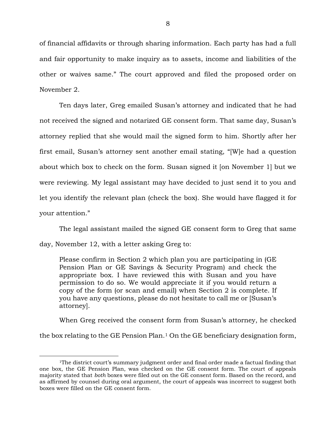of financial affidavits or through sharing information. Each party has had a full and fair opportunity to make inquiry as to assets, income and liabilities of the other or waives same." The court approved and filed the proposed order on November 2.

Ten days later, Greg emailed Susan's attorney and indicated that he had not received the signed and notarized GE consent form. That same day, Susan's attorney replied that she would mail the signed form to him. Shortly after her first email, Susan's attorney sent another email stating, "[W]e had a question about which box to check on the form. Susan signed it [on November 1] but we were reviewing. My legal assistant may have decided to just send it to you and let you identify the relevant plan (check the box). She would have flagged it for your attention."

The legal assistant mailed the signed GE consent form to Greg that same day, November 12, with a letter asking Greg to:

Please confirm in Section 2 which plan you are participating in (GE Pension Plan or GE Savings & Security Program) and check the appropriate box. I have reviewed this with Susan and you have permission to do so. We would appreciate it if you would return a copy of the form (or scan and email) when Section 2 is complete. If you have any questions, please do not hesitate to call me or [Susan's attorney].

When Greg received the consent form from Susan's attorney, he checked the box relating to the GE Pension Plan.<sup>1</sup> On the GE beneficiary designation form,

<sup>&</sup>lt;sup>1</sup>The district court's summary judgment order and final order made a factual finding that one box, the GE Pension Plan, was checked on the GE consent form. The court of appeals majority stated that *both* boxes were filed out on the GE consent form. Based on the record, and as affirmed by counsel during oral argument, the court of appeals was incorrect to suggest both boxes were filled on the GE consent form.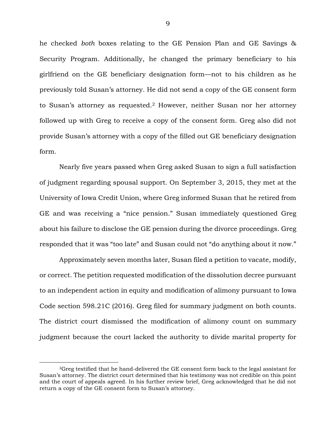he checked *both* boxes relating to the GE Pension Plan and GE Savings & Security Program. Additionally, he changed the primary beneficiary to his girlfriend on the GE beneficiary designation form—not to his children as he previously told Susan's attorney. He did not send a copy of the GE consent form to Susan's attorney as requested.<sup>2</sup> However, neither Susan nor her attorney followed up with Greg to receive a copy of the consent form. Greg also did not provide Susan's attorney with a copy of the filled out GE beneficiary designation form.

Nearly five years passed when Greg asked Susan to sign a full satisfaction of judgment regarding spousal support. On September 3, 2015, they met at the University of Iowa Credit Union, where Greg informed Susan that he retired from GE and was receiving a "nice pension." Susan immediately questioned Greg about his failure to disclose the GE pension during the divorce proceedings. Greg responded that it was "too late" and Susan could not "do anything about it now."

Approximately seven months later, Susan filed a petition to vacate, modify, or correct. The petition requested modification of the dissolution decree pursuant to an independent action in equity and modification of alimony pursuant to Iowa Code section 598.21C (2016). Greg filed for summary judgment on both counts. The district court dismissed the modification of alimony count on summary judgment because the court lacked the authority to divide marital property for

<sup>2</sup>Greg testified that he hand-delivered the GE consent form back to the legal assistant for Susan's attorney. The district court determined that his testimony was not credible on this point and the court of appeals agreed. In his further review brief, Greg acknowledged that he did not return a copy of the GE consent form to Susan's attorney.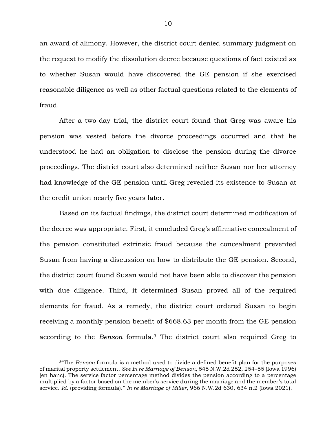an award of alimony. However, the district court denied summary judgment on the request to modify the dissolution decree because questions of fact existed as to whether Susan would have discovered the GE pension if she exercised reasonable diligence as well as other factual questions related to the elements of fraud.

After a two-day trial, the district court found that Greg was aware his pension was vested before the divorce proceedings occurred and that he understood he had an obligation to disclose the pension during the divorce proceedings. The district court also determined neither Susan nor her attorney had knowledge of the GE pension until Greg revealed its existence to Susan at the credit union nearly five years later.

Based on its factual findings, the district court determined modification of the decree was appropriate. First, it concluded Greg's affirmative concealment of the pension constituted extrinsic fraud because the concealment prevented Susan from having a discussion on how to distribute the GE pension. Second, the district court found Susan would not have been able to discover the pension with due diligence. Third, it determined Susan proved all of the required elements for fraud. As a remedy, the district court ordered Susan to begin receiving a monthly pension benefit of \$668.63 per month from the GE pension according to the *Benson* formula.<sup>3</sup> The district court also required Greg to

<sup>3</sup>"The *Benson* formula is a method used to divide a defined benefit plan for the purposes of marital property settlement. *See In re Marriage of Benson*, 545 N.W.2d 252, 254–55 (Iowa 1996) (en banc). The service factor percentage method divides the pension according to a percentage multiplied by a factor based on the member's service during the marriage and the member's total service. *Id.* (providing formula)." *In re Marriage of Miller*, 966 N.W.2d 630, 634 n.2 (Iowa 2021).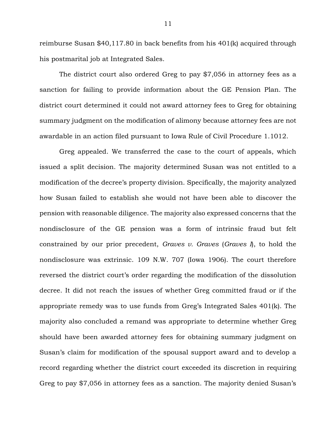reimburse Susan \$40,117.80 in back benefits from his 401(k) acquired through his postmarital job at Integrated Sales.

The district court also ordered Greg to pay \$7,056 in attorney fees as a sanction for failing to provide information about the GE Pension Plan. The district court determined it could not award attorney fees to Greg for obtaining summary judgment on the modification of alimony because attorney fees are not awardable in an action filed pursuant to Iowa Rule of Civil Procedure 1.1012.

Greg appealed. We transferred the case to the court of appeals, which issued a split decision. The majority determined Susan was not entitled to a modification of the decree's property division. Specifically, the majority analyzed how Susan failed to establish she would not have been able to discover the pension with reasonable diligence. The majority also expressed concerns that the nondisclosure of the GE pension was a form of intrinsic fraud but felt constrained by our prior precedent, *Graves v. Graves* (*Graves I*), to hold the nondisclosure was extrinsic. 109 N.W. 707 (Iowa 1906). The court therefore reversed the district court's order regarding the modification of the dissolution decree. It did not reach the issues of whether Greg committed fraud or if the appropriate remedy was to use funds from Greg's Integrated Sales 401(k). The majority also concluded a remand was appropriate to determine whether Greg should have been awarded attorney fees for obtaining summary judgment on Susan's claim for modification of the spousal support award and to develop a record regarding whether the district court exceeded its discretion in requiring Greg to pay \$7,056 in attorney fees as a sanction. The majority denied Susan's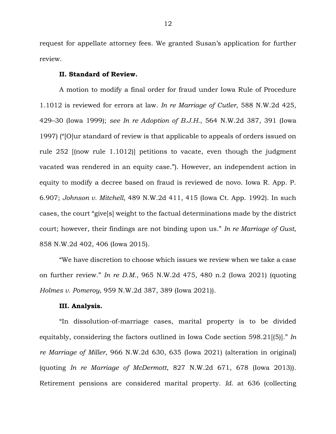request for appellate attorney fees. We granted Susan's application for further review.

#### **II. Standard of Review.**

A motion to modify a final order for fraud under Iowa Rule of Procedure 1.1012 is reviewed for errors at law. *In re Marriage of Cutler*, 588 N.W.2d 425, 429–30 (Iowa 1999); *see In re Adoption of B.J.H.*, 564 N.W.2d 387, 391 (Iowa 1997) ("[O]ur standard of review is that applicable to appeals of orders issued on rule 252 [(now rule 1.1012)] petitions to vacate, even though the judgment vacated was rendered in an equity case."). However, an independent action in equity to modify a decree based on fraud is reviewed de novo. Iowa R. App. P. 6.907; *Johnson v. Mitchell*, 489 N.W.2d 411, 415 (Iowa Ct. App. 1992). In such cases, the court "give[s] weight to the factual determinations made by the district court; however, their findings are not binding upon us." *In re Marriage of Gust*, 858 N.W.2d 402, 406 (Iowa 2015).

"We have discretion to choose which issues we review when we take a case on further review." *In re D.M.*, 965 N.W.2d 475, 480 n.2 (Iowa 2021) (quoting *Holmes v. Pomeroy*, 959 N.W.2d 387, 389 (Iowa 2021)).

## **III. Analysis.**

"In dissolution-of-marriage cases, marital property is to be divided equitably, considering the factors outlined in Iowa Code section 598.21[(5)]." *In re Marriage of Miller*, 966 N.W.2d 630, 635 (Iowa 2021) (alteration in original) (quoting *In re Marriage of McDermott*, 827 N.W.2d 671, 678 (Iowa 2013)). Retirement pensions are considered marital property. *Id.* at 636 (collecting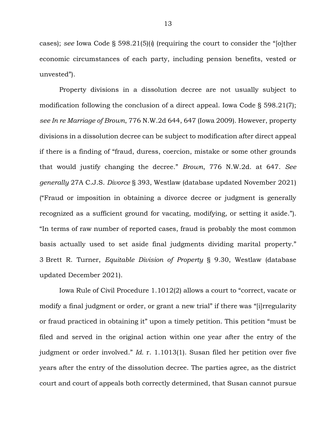cases); *see* Iowa Code § 598.21(5)(*i*) (requiring the court to consider the "[o]ther economic circumstances of each party, including pension benefits, vested or unvested").

Property divisions in a dissolution decree are not usually subject to modification following the conclusion of a direct appeal. Iowa Code § 598.21(7); *see In re Marriage of Brown*, 776 N.W.2d 644, 647 (Iowa 2009). However, property divisions in a dissolution decree can be subject to modification after direct appeal if there is a finding of "fraud, duress, coercion, mistake or some other grounds that would justify changing the decree." *Brown*, 776 N.W.2d. at 647. *See generally* 27A C.J.S. *Divorce* § 393, Westlaw (database updated November 2021) ("Fraud or imposition in obtaining a divorce decree or judgment is generally recognized as a sufficient ground for vacating, modifying, or setting it aside."). "In terms of raw number of reported cases, fraud is probably the most common basis actually used to set aside final judgments dividing marital property." 3 Brett R. Turner, *Equitable Division of Property* § 9.30, Westlaw (database updated December 2021).

Iowa Rule of Civil Procedure 1.1012(2) allows a court to "correct, vacate or modify a final judgment or order, or grant a new trial" if there was "[i]rregularity or fraud practiced in obtaining it" upon a timely petition. This petition "must be filed and served in the original action within one year after the entry of the judgment or order involved." *Id.* r. 1.1013(1). Susan filed her petition over five years after the entry of the dissolution decree. The parties agree, as the district court and court of appeals both correctly determined, that Susan cannot pursue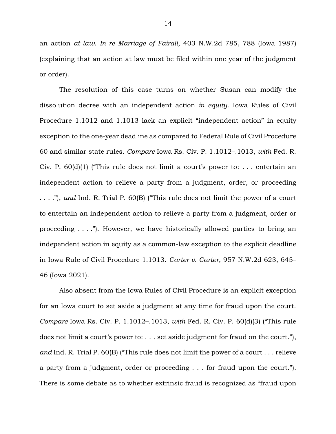an action *at law*. *In re Marriage of Fairall*, 403 N.W.2d 785, 788 (Iowa 1987) (explaining that an action at law must be filed within one year of the judgment or order).

The resolution of this case turns on whether Susan can modify the dissolution decree with an independent action *in equity*. Iowa Rules of Civil Procedure 1.1012 and 1.1013 lack an explicit "independent action" in equity exception to the one-year deadline as compared to Federal Rule of Civil Procedure 60 and similar state rules. *Compare* Iowa Rs. Civ. P. 1.1012–.1013, *with* Fed. R. Civ. P.  $60(d)(1)$  ("This rule does not limit a court's power to: ... entertain an independent action to relieve a party from a judgment, order, or proceeding . . . ."), *and* Ind. R. Trial P. 60(B) ("This rule does not limit the power of a court to entertain an independent action to relieve a party from a judgment, order or proceeding . . . ."). However, we have historically allowed parties to bring an independent action in equity as a common-law exception to the explicit deadline in Iowa Rule of Civil Procedure 1.1013. *Carter v. Carter*, 957 N.W.2d 623, 645– 46 (Iowa 2021).

Also absent from the Iowa Rules of Civil Procedure is an explicit exception for an Iowa court to set aside a judgment at any time for fraud upon the court. *Compare* Iowa Rs. Civ. P. 1.1012–.1013, *with* Fed. R. Civ. P. 60(d)(3) ("This rule does not limit a court's power to: . . . set aside judgment for fraud on the court."), *and* Ind. R. Trial P. 60(B) ("This rule does not limit the power of a court . . . relieve a party from a judgment, order or proceeding . . . for fraud upon the court."). There is some debate as to whether extrinsic fraud is recognized as "fraud upon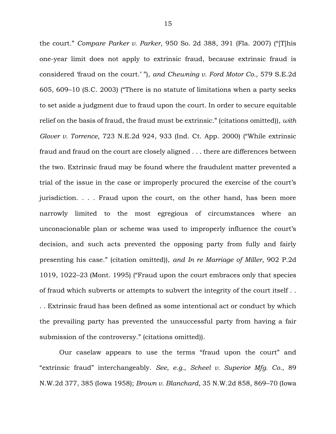the court." *Compare Parker v. Parker*, 950 So. 2d 388, 391 (Fla. 2007) ("[T]his one-year limit does not apply to extrinsic fraud, because extrinsic fraud is considered 'fraud on the court.' "), *and Chewning v. Ford Motor Co.*, 579 S.E.2d 605, 609–10 (S.C. 2003) ("There is no statute of limitations when a party seeks to set aside a judgment due to fraud upon the court. In order to secure equitable relief on the basis of fraud, the fraud must be extrinsic." (citations omitted)), *with Glover v. Torrence*, 723 N.E.2d 924, 933 (Ind. Ct. App. 2000) ("While extrinsic fraud and fraud on the court are closely aligned . . . there are differences between the two. Extrinsic fraud may be found where the fraudulent matter prevented a trial of the issue in the case or improperly procured the exercise of the court's jurisdiction. . . . Fraud upon the court, on the other hand, has been more narrowly limited to the most egregious of circumstances where an unconscionable plan or scheme was used to improperly influence the court's decision, and such acts prevented the opposing party from fully and fairly presenting his case." (citation omitted)), *and In re Marriage of Miller*, 902 P.2d 1019, 1022–23 (Mont. 1995) ("Fraud upon the court embraces only that species of fraud which subverts or attempts to subvert the integrity of the court itself . . . . Extrinsic fraud has been defined as some intentional act or conduct by which the prevailing party has prevented the unsuccessful party from having a fair submission of the controversy." (citations omitted)).

Our caselaw appears to use the terms "fraud upon the court" and "extrinsic fraud" interchangeably. *See, e.g.*, *Scheel v. Superior Mfg. Co.*, 89 N.W.2d 377, 385 (Iowa 1958); *Brown v. Blanchard*, 35 N.W.2d 858, 869–70 (Iowa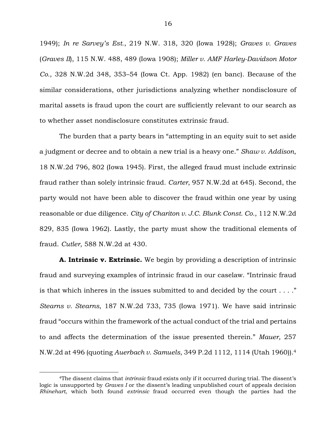1949); *In re Sarvey's Est.*, 219 N.W. 318, 320 (Iowa 1928); *Graves v. Graves* (*Graves II*), 115 N.W. 488, 489 (Iowa 1908); *Miller v. AMF Harley-Davidson Motor Co.*, 328 N.W.2d 348, 353–54 (Iowa Ct. App. 1982) (en banc). Because of the similar considerations, other jurisdictions analyzing whether nondisclosure of marital assets is fraud upon the court are sufficiently relevant to our search as to whether asset nondisclosure constitutes extrinsic fraud.

The burden that a party bears in "attempting in an equity suit to set aside a judgment or decree and to obtain a new trial is a heavy one." *Shaw v. Addison*, 18 N.W.2d 796, 802 (Iowa 1945). First, the alleged fraud must include extrinsic fraud rather than solely intrinsic fraud. *Carter*, 957 N.W.2d at 645). Second, the party would not have been able to discover the fraud within one year by using reasonable or due diligence. *City of Chariton v. J.C. Blunk Const. Co.*, 112 N.W.2d 829, 835 (Iowa 1962). Lastly, the party must show the traditional elements of fraud. *Cutler*, 588 N.W.2d at 430.

**A. Intrinsic v. Extrinsic.** We begin by providing a description of intrinsic fraud and surveying examples of intrinsic fraud in our caselaw. "Intrinsic fraud is that which inheres in the issues submitted to and decided by the court . . . ." *Stearns v. Stearns*, 187 N.W.2d 733, 735 (Iowa 1971). We have said intrinsic fraud "occurs within the framework of the actual conduct of the trial and pertains to and affects the determination of the issue presented therein." *Mauer*, 257 N.W.2d at 496 (quoting *Auerbach v. Samuels*, 349 P.2d 1112, 1114 (Utah 1960)).<sup>4</sup>

<sup>4</sup>The dissent claims that *intrinsic* fraud exists only if it occurred during trial. The dissent's logic is unsupported by *Graves I* or the dissent's leading unpublished court of appeals decision *Rhinehart*, which both found *extrinsic* fraud occurred even though the parties had the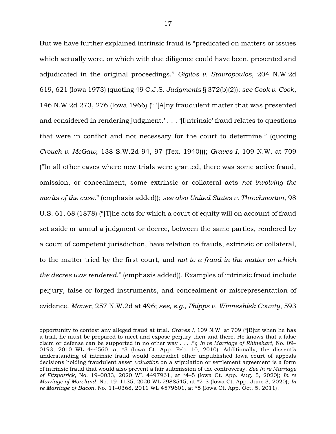But we have further explained intrinsic fraud is "predicated on matters or issues which actually were, or which with due diligence could have been, presented and adjudicated in the original proceedings." *Gigilos v. Stavropoulos*, 204 N.W.2d 619, 621 (Iowa 1973) (quoting 49 C.J.S. *Judgments* § 372(b)(2)); *see Cook v. Cook*, 146 N.W.2d 273, 276 (Iowa 1966) (" '[A]ny fraudulent matter that was presented and considered in rendering judgment.' . . . '[I]ntrinsic' fraud relates to questions that were in conflict and not necessary for the court to determine." (quoting *Crouch v. McGaw*, 138 S.W.2d 94, 97 (Tex. 1940))); *Graves I*, 109 N.W. at 709 ("In all other cases where new trials were granted, there was some active fraud, omission, or concealment, some extrinsic or collateral acts *not involving the merits of the case*." (emphasis added)); *see also United States v. Throckmorton*, 98 U.S. 61, 68 (1878) ("[T]he acts for which a court of equity will on account of fraud set aside or annul a judgment or decree, between the same parties, rendered by a court of competent jurisdiction, have relation to frauds, extrinsic or collateral, to the matter tried by the first court, and *not to a fraud in the matter on which the decree was rendered*." (emphasis added)). Examples of intrinsic fraud include perjury, false or forged instruments, and concealment or misrepresentation of evidence. *Mauer*, 257 N.W.2d at 496; *see, e.g.*, *Phipps v. Winneshiek County*, 593

opportunity to contest any alleged fraud at trial. *Graves I*, 109 N.W. at 709 ("[B]ut when he has a trial, he must be prepared to meet and expose perjury then and there. He knows that a false claim or defense can be supported in no other way . . . ."); *In re Marriage of Rhinehart*, No. 09– 0193, 2010 WL 446560, at \*3 (Iowa Ct. App. Feb. 10, 2010). Additionally, the dissent's understanding of intrinsic fraud would contradict other unpublished Iowa court of appeals decisions holding fraudulent asset *valuation* on a stipulation or settlement agreement is a form of intrinsic fraud that would also prevent a fair submission of the controversy. *See In re Marriage of Fitzpatrick,* No. 19–0033, 2020 WL 4497961, at \*4–5 (Iowa Ct. App. Aug. 5, 2020); *In re Marriage of Moreland*, No. 19–1135, 2020 WL 2988545, at \*2–3 (Iowa Ct. App. June 3, 2020); *In re Marriage of Bacon*, No. 11–0368, 2011 WL 4579601, at \*5 (Iowa Ct. App. Oct. 5, 2011).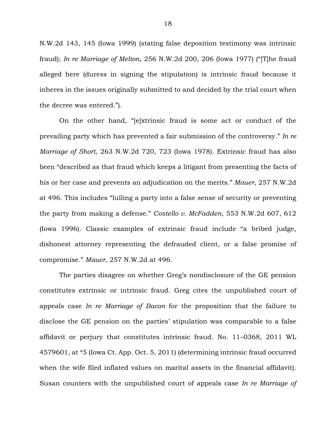N.W.2d 143, 145 (Iowa 1999) (stating false deposition testimony was intrinsic fraud); *In re Marriage of Melton*, 256 N.W.2d 200, 206 (Iowa 1977) ("[T]he fraud alleged here (duress in signing the stipulation) is intrinsic fraud because it inheres in the issues originally submitted to and decided by the trial court when the decree was entered.").

On the other hand, "[e]xtrinsic fraud is some act or conduct of the prevailing party which has prevented a fair submission of the controversy." *In re Marriage of Short*, 263 N.W.2d 720, 723 (Iowa 1978). Extrinsic fraud has also been "described as that fraud which keeps a litigant from presenting the facts of his or her case and prevents an adjudication on the merits." *Mauer*, 257 N.W.2d at 496. This includes "lulling a party into a false sense of security or preventing the party from making a defense." *Costello v. McFadden*, 553 N.W.2d 607, 612 (Iowa 1996). Classic examples of extrinsic fraud include "a bribed judge, dishonest attorney representing the defrauded client, or a false promise of compromise." *Mauer*, 257 N.W.2d at 496.

The parties disagree on whether Greg's nondisclosure of the GE pension constitutes extrinsic or intrinsic fraud. Greg cites the unpublished court of appeals case *In re Marriage of Bacon* for the proposition that the failure to disclose the GE pension on the parties' stipulation was comparable to a false affidavit or perjury that constitutes intrinsic fraud. No. 11–0368, 2011 WL 4579601, at \*5 (Iowa Ct. App. Oct. 5, 2011) (determining intrinsic fraud occurred when the wife filed inflated values on marital assets in the financial affidavit). Susan counters with the unpublished court of appeals case *In re Marriage of*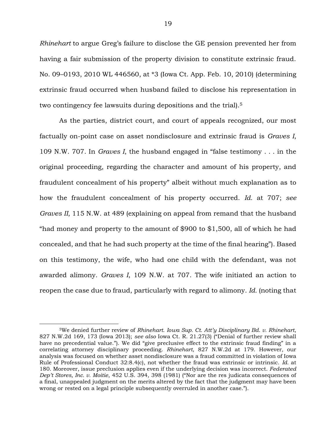*Rhinehart* to argue Greg's failure to disclose the GE pension prevented her from having a fair submission of the property division to constitute extrinsic fraud. No. 09–0193, 2010 WL 446560, at \*3 (Iowa Ct. App. Feb. 10, 2010) (determining extrinsic fraud occurred when husband failed to disclose his representation in two contingency fee lawsuits during depositions and the trial).<sup>5</sup>

As the parties, district court, and court of appeals recognized, our most factually on-point case on asset nondisclosure and extrinsic fraud is *Graves I*, 109 N.W. 707. In *Graves I*, the husband engaged in "false testimony . . . in the original proceeding, regarding the character and amount of his property, and fraudulent concealment of his property" albeit without much explanation as to how the fraudulent concealment of his property occurred. *Id.* at 707; *see Graves II*, 115 N.W. at 489 (explaining on appeal from remand that the husband "had money and property to the amount of \$900 to \$1,500, all of which he had concealed, and that he had such property at the time of the final hearing"). Based on this testimony, the wife, who had one child with the defendant, was not awarded alimony. *Graves I*, 109 N.W. at 707. The wife initiated an action to reopen the case due to fraud, particularly with regard to alimony. *Id.* (noting that

<sup>5</sup>We denied further review of *Rhinehart*. *Iowa Sup. Ct. Att'y Disciplinary Bd. v. Rhinehart*, 827 N.W.2d 169, 173 (Iowa 2013); *see also* Iowa Ct. R. 21.27(3) ("Denial of further review shall have no precedential value."). We did "give preclusive effect to the extrinsic fraud finding" in a correlating attorney disciplinary proceeding. *Rhinehart*, 827 N.W.2d at 179. However, our analysis was focused on whether asset nondisclosure was a fraud committed in violation of Iowa Rule of Professional Conduct 32:8.4(c), not whether the fraud was extrinsic or intrinsic. *Id.* at 180. Moreover, issue preclusion applies even if the underlying decision was incorrect. *Federated Dep't Stores, Inc. v. Moitie*, 452 U.S. 394, 398 (1981) ("Nor are the res judicata consequences of a final, unappealed judgment on the merits altered by the fact that the judgment may have been wrong or rested on a legal principle subsequently overruled in another case.").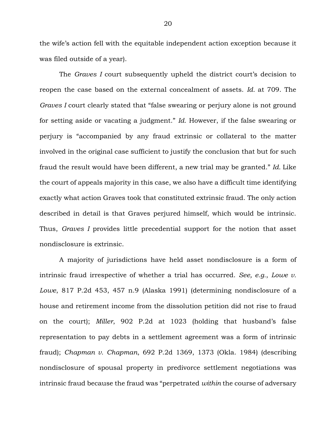the wife's action fell with the equitable independent action exception because it was filed outside of a year).

The *Graves I* court subsequently upheld the district court's decision to reopen the case based on the external concealment of assets. *Id.* at 709. The *Graves I* court clearly stated that "false swearing or perjury alone is not ground for setting aside or vacating a judgment." *Id.* However, if the false swearing or perjury is "accompanied by any fraud extrinsic or collateral to the matter involved in the original case sufficient to justify the conclusion that but for such fraud the result would have been different, a new trial may be granted." *Id.* Like the court of appeals majority in this case, we also have a difficult time identifying exactly what action Graves took that constituted extrinsic fraud. The only action described in detail is that Graves perjured himself, which would be intrinsic. Thus, *Graves I* provides little precedential support for the notion that asset nondisclosure is extrinsic.

A majority of jurisdictions have held asset nondisclosure is a form of intrinsic fraud irrespective of whether a trial has occurred. *See, e.g.*, *Lowe v. Lowe*, 817 P.2d 453, 457 n.9 (Alaska 1991) (determining nondisclosure of a house and retirement income from the dissolution petition did not rise to fraud on the court); *Miller*, 902 P.2d at 1023 (holding that husband's false representation to pay debts in a settlement agreement was a form of intrinsic fraud); *Chapman v. Chapman*, 692 P.2d 1369, 1373 (Okla. 1984) (describing nondisclosure of spousal property in predivorce settlement negotiations was intrinsic fraud because the fraud was "perpetrated *within* the course of adversary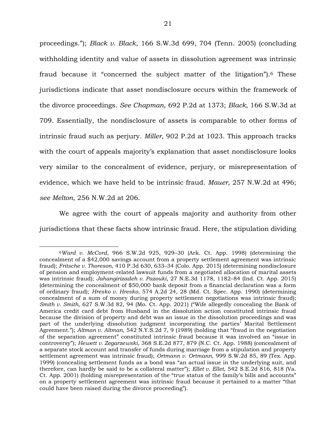proceedings."); *Black v. Black*, 166 S.W.3d 699, 704 (Tenn. 2005) (concluding withholding identity and value of assets in dissolution agreement was intrinsic fraud because it "concerned the subject matter of the litigation").<sup>6</sup> These jurisdictions indicate that asset nondisclosure occurs within the framework of the divorce proceedings. *See Chapman*, 692 P.2d at 1373; *Black*, 166 S.W.3d at 709. Essentially, the nondisclosure of assets is comparable to other forms of intrinsic fraud such as perjury. *Miller*, 902 P.2d at 1023. This approach tracks with the court of appeals majority's explanation that asset nondisclosure looks very similar to the concealment of evidence, perjury, or misrepresentation of evidence, which we have held to be intrinsic fraud. *Mauer*, 257 N.W.2d at 496; *see Melton*, 256 N.W.2d at 206.

We agree with the court of appeals majority and authority from other jurisdictions that these facts show intrinsic fraud. Here, the stipulation dividing

<sup>6</sup>*Ward v. McCord*, 966 S.W.2d 925, 929–30 (Ark. Ct. App. 1998) (determining the concealment of a \$42,000 savings account from a property settlement agreement was intrinsic fraud); *Fritsche v. Thoreson*, 410 P.3d 630, 633–34 (Colo. App. 2015) (determining nondisclosure of pension and employment-related lawsuit funds from a negotiated allocation of marital assets was intrinsic fraud); *Jahangirizadeh v. Pazouki*, 27 N.E.3d 1178, 1182–84 (Ind. Ct. App. 2015) (determining the concealment of \$50,000 bank deposit from a financial declaration was a form of ordinary fraud); *Hresko v. Hresko*, 574 A.2d 24, 28 (Md. Ct. Spec. App. 1990) (determining concealment of a sum of money during property settlement negotiations was intrinsic fraud); *Smith v. Smith*, 627 S.W.3d 82, 94 (Mo. Ct. App. 2021) ("Wife allegedly concealing the Bank of America credit card debt from Husband in the dissolution action constituted intrinsic fraud because the division of property and debt was an issue in the dissolution proceedings and was part of the underlying dissolution judgment incorporating the parties' Marital Settlement Agreement."); *Altman v. Altman*, 542 N.Y.S.2d 7, 9 (1989) (holding that "fraud in the negotiation of the separation agreement" constituted intrinsic fraud because it was involved an "issue in controversy"); *Hewett v. Zegarzewski*, 368 S.E.2d 877, 879 (N.C. Ct. App. 1988) (concealment of a separate stock account and transfer of funds during marriage from a stipulation and property settlement agreement was intrinsic fraud); *Ortmann v. Ortmann*, 999 S.W.2d 85, 89 (Tex. App. 1999) (concealing settlement funds as a bond was "an actual issue in the underlying suit, and therefore, can hardly be said to be a collateral matter"); *Ellet v. Ellet*, 542 S.E.2d 816, 818 (Va. Ct. App. 2001) (holding misrepresentation of the "true status of the family's bills and accounts" on a property settlement agreement was intrinsic fraud because it pertained to a matter "that could have been raised during the divorce proceeding").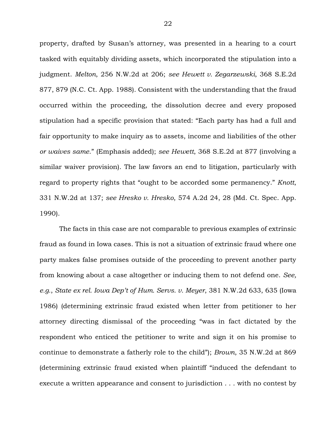property, drafted by Susan's attorney, was presented in a hearing to a court tasked with equitably dividing assets, which incorporated the stipulation into a judgment. *Melton*, 256 N.W.2d at 206; *see Hewett v. Zegarzewski*, 368 S.E.2d 877, 879 (N.C. Ct. App. 1988). Consistent with the understanding that the fraud occurred within the proceeding, the dissolution decree and every proposed stipulation had a specific provision that stated: "Each party has had a full and fair opportunity to make inquiry as to assets, income and liabilities of the other *or waives same*." (Emphasis added); *see Hewett*, 368 S.E.2d at 877 (involving a similar waiver provision). The law favors an end to litigation, particularly with regard to property rights that "ought to be accorded some permanency." *Knott*, 331 N.W.2d at 137; *see Hresko v. Hresko*, 574 A.2d 24, 28 (Md. Ct. Spec. App. 1990).

The facts in this case are not comparable to previous examples of extrinsic fraud as found in Iowa cases. This is not a situation of extrinsic fraud where one party makes false promises outside of the proceeding to prevent another party from knowing about a case altogether or inducing them to not defend one. *See, e.g.*, *State ex rel. Iowa Dep't of Hum. Servs. v. Meyer*, 381 N.W.2d 633, 635 (Iowa 1986) (determining extrinsic fraud existed when letter from petitioner to her attorney directing dismissal of the proceeding "was in fact dictated by the respondent who enticed the petitioner to write and sign it on his promise to continue to demonstrate a fatherly role to the child"); *Brown*, 35 N.W.2d at 869 (determining extrinsic fraud existed when plaintiff "induced the defendant to execute a written appearance and consent to jurisdiction . . . with no contest by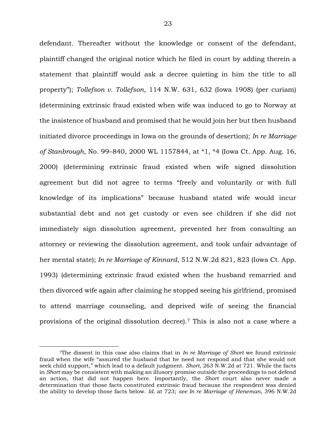defendant. Thereafter without the knowledge or consent of the defendant, plaintiff changed the original notice which he filed in court by adding therein a statement that plaintiff would ask a decree quieting in him the title to all property"); *Tollefson v. Tollefson*, 114 N.W. 631, 632 (Iowa 1908) (per curiam) (determining extrinsic fraud existed when wife was induced to go to Norway at the insistence of husband and promised that he would join her but then husband initiated divorce proceedings in Iowa on the grounds of desertion); *In re Marriage of Stanbrough*, No. 99–840, 2000 WL 1157844, at \*1, \*4 (Iowa Ct. App. Aug. 16, 2000) (determining extrinsic fraud existed when wife signed dissolution agreement but did not agree to terms "freely and voluntarily or with full knowledge of its implications" because husband stated wife would incur substantial debt and not get custody or even see children if she did not immediately sign dissolution agreement, prevented her from consulting an attorney or reviewing the dissolution agreement, and took unfair advantage of her mental state); *In re Marriage of Kinnard*, 512 N.W.2d 821, 823 (Iowa Ct. App. 1993) (determining extrinsic fraud existed when the husband remarried and then divorced wife again after claiming he stopped seeing his girlfriend, promised to attend marriage counseling, and deprived wife of seeing the financial provisions of the original dissolution decree). <sup>7</sup> This is also not a case where a

<sup>7</sup>The dissent in this case also claims that in *In re Marriage of Short* we found extrinsic fraud when the wife "assured the husband that he need not respond and that she would not seek child support," which lead to a default judgment. *Short*, 263 N.W.2d at 721. While the facts in *Short* may be consistent with making an illusory promise outside the proceedings to not defend an action, that did not happen here. Importantly, the *Short* court also never made a determination that those facts constituted extrinsic fraud because the respondent was denied the ability to develop those facts below. *Id.* at 723; *see In re Marriage of Heneman*, 396 N.W.2d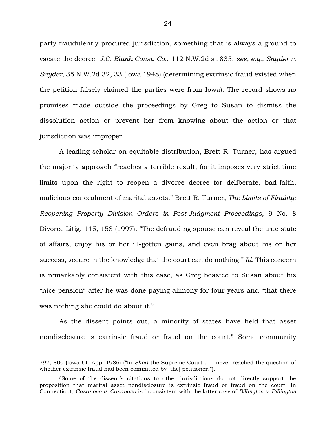party fraudulently procured jurisdiction, something that is always a ground to vacate the decree. *J.C. Blunk Const. Co.*, 112 N.W.2d at 835; *see, e.g., Snyder v. Snyder*, 35 N.W.2d 32, 33 (Iowa 1948) (determining extrinsic fraud existed when the petition falsely claimed the parties were from Iowa). The record shows no promises made outside the proceedings by Greg to Susan to dismiss the dissolution action or prevent her from knowing about the action or that jurisdiction was improper.

A leading scholar on equitable distribution, Brett R. Turner, has argued the majority approach "reaches a terrible result, for it imposes very strict time limits upon the right to reopen a divorce decree for deliberate, bad-faith, malicious concealment of marital assets." Brett R. Turner, *The Limits of Finality: Reopening Property Division Orders in Post-Judgment Proceedings*, 9 No. 8 Divorce Litig. 145, 158 (1997). "The defrauding spouse can reveal the true state of affairs, enjoy his or her ill-gotten gains, and even brag about his or her success, secure in the knowledge that the court can do nothing." *Id.* This concern is remarkably consistent with this case, as Greg boasted to Susan about his "nice pension" after he was done paying alimony for four years and "that there was nothing she could do about it."

As the dissent points out, a minority of states have held that asset nondisclosure is extrinsic fraud or fraud on the court.<sup>8</sup> Some community

<sup>797, 800 (</sup>Iowa Ct. App. 1986) ("In *Short* the Supreme Court . . . never reached the question of whether extrinsic fraud had been committed by [the] petitioner.").

<sup>8</sup>Some of the dissent's citations to other jurisdictions do not directly support the proposition that marital asset nondisclosure is extrinsic fraud or fraud on the court. In Connecticut, *Casanova v. Casanova* is inconsistent with the latter case of *Billington v. Billington*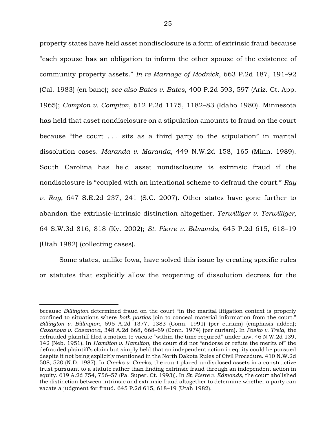property states have held asset nondisclosure is a form of extrinsic fraud because "each spouse has an obligation to inform the other spouse of the existence of community property assets." *In re Marriage of Modnick*, 663 P.2d 187, 191–92 (Cal. 1983) (en banc); *see also Bates v. Bates*, 400 P.2d 593, 597 (Ariz. Ct. App. 1965); *Compton v. Compton*, 612 P.2d 1175, 1182–83 (Idaho 1980). Minnesota has held that asset nondisclosure on a stipulation amounts to fraud on the court because "the court . . . sits as a third party to the stipulation" in marital dissolution cases. *Maranda v. Maranda*, 449 N.W.2d 158, 165 (Minn. 1989). South Carolina has held asset nondisclosure is extrinsic fraud if the nondisclosure is "coupled with an intentional scheme to defraud the court." *Ray v. Ray*, 647 S.E.2d 237, 241 (S.C. 2007). Other states have gone further to abandon the extrinsic-intrinsic distinction altogether. *Terwilliger v. Terwilliger*, 64 S.W.3d 816, 818 (Ky. 2002); *St. Pierre v. Edmonds*, 645 P.2d 615, 618–19 (Utah 1982) (collecting cases).

Some states, unlike Iowa, have solved this issue by creating specific rules or statutes that explicitly allow the reopening of dissolution decrees for the

because *Billington* determined fraud on the court "in the marital litigation context is properly confined to situations where *both parties* join to conceal material information from the court." *Billington v. Billington*, 595 A.2d 1377, 1383 (Conn. 1991) (per curiam) (emphasis added); *Casanova v. Casanova*, 348 A.2d 668, 668–69 (Conn. 1974) (per curiam). In *Pasko v. Trela*, the defrauded plaintiff filed a motion to vacate "within the time required" under law. 46 N.W.2d 139, 142 (Neb. 1951). In *Hamilton v. Hamilton*, the court did not "endorse or refute the merits of" the defrauded plaintiff's claim but simply held that an independent action in equity could be pursued despite it not being explicitly mentioned in the North Dakota Rules of Civil Procedure. 410 N.W.2d 508, 520 (N.D. 1987). In *Creeks v. Creeks*, the court placed undisclosed assets in a constructive trust pursuant to a statute rather than finding extrinsic fraud through an independent action in equity. 619 A.2d 754, 756–57 (Pa. Super. Ct. 1993)). In *St. Pierre v. Edmonds*, the court abolished the distinction between intrinsic and extrinsic fraud altogether to determine whether a party can vacate a judgment for fraud. 645 P.2d 615, 618–19 (Utah 1982).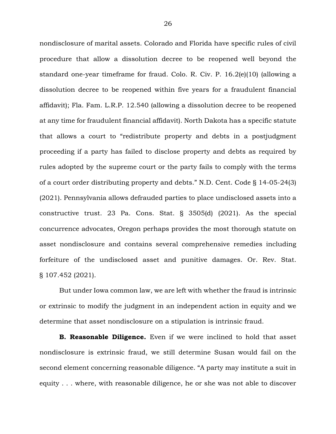nondisclosure of marital assets. Colorado and Florida have specific rules of civil procedure that allow a dissolution decree to be reopened well beyond the standard one-year timeframe for fraud. Colo. R. Civ. P. 16.2(e)(10) (allowing a dissolution decree to be reopened within five years for a fraudulent financial affidavit); Fla. Fam. L.R.P. 12.540 (allowing a dissolution decree to be reopened at any time for fraudulent financial affidavit). North Dakota has a specific statute that allows a court to "redistribute property and debts in a postjudgment proceeding if a party has failed to disclose property and debts as required by rules adopted by the supreme court or the party fails to comply with the terms of a court order distributing property and debts." N.D. Cent. Code § 14-05-24(3) (2021). Pennsylvania allows defrauded parties to place undisclosed assets into a constructive trust. 23 Pa. Cons. Stat. § 3505(d) (2021). As the special concurrence advocates, Oregon perhaps provides the most thorough statute on asset nondisclosure and contains several comprehensive remedies including forfeiture of the undisclosed asset and punitive damages. Or. Rev. Stat. § 107.452 (2021).

But under Iowa common law, we are left with whether the fraud is intrinsic or extrinsic to modify the judgment in an independent action in equity and we determine that asset nondisclosure on a stipulation is intrinsic fraud.

**B. Reasonable Diligence.** Even if we were inclined to hold that asset nondisclosure is extrinsic fraud, we still determine Susan would fail on the second element concerning reasonable diligence. "A party may institute a suit in equity . . . where, with reasonable diligence, he or she was not able to discover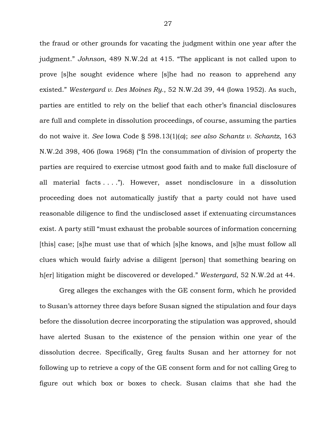the fraud or other grounds for vacating the judgment within one year after the judgment." *Johnson*, 489 N.W.2d at 415. "The applicant is not called upon to prove [s]he sought evidence where [s]he had no reason to apprehend any existed." *Westergard v. Des Moines Ry.*, 52 N.W.2d 39, 44 (Iowa 1952). As such, parties are entitled to rely on the belief that each other's financial disclosures are full and complete in dissolution proceedings, of course, assuming the parties do not waive it. *See* Iowa Code § 598.13(1)(*a*); *see also Schantz v. Schantz*, 163 N.W.2d 398, 406 (Iowa 1968) ("In the consummation of division of property the parties are required to exercise utmost good faith and to make full disclosure of all material facts . . . ."). However, asset nondisclosure in a dissolution proceeding does not automatically justify that a party could not have used reasonable diligence to find the undisclosed asset if extenuating circumstances exist. A party still "must exhaust the probable sources of information concerning [this] case; [s]he must use that of which [s]he knows, and [s]he must follow all clues which would fairly advise a diligent [person] that something bearing on h[er] litigation might be discovered or developed." *Westergard*, 52 N.W.2d at 44.

Greg alleges the exchanges with the GE consent form, which he provided to Susan's attorney three days before Susan signed the stipulation and four days before the dissolution decree incorporating the stipulation was approved, should have alerted Susan to the existence of the pension within one year of the dissolution decree. Specifically, Greg faults Susan and her attorney for not following up to retrieve a copy of the GE consent form and for not calling Greg to figure out which box or boxes to check. Susan claims that she had the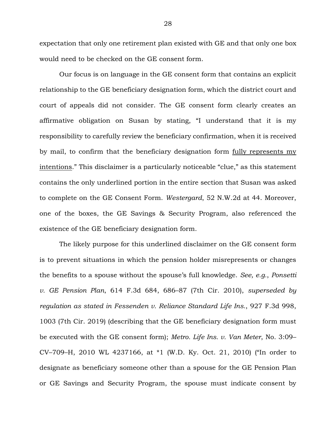expectation that only one retirement plan existed with GE and that only one box would need to be checked on the GE consent form.

Our focus is on language in the GE consent form that contains an explicit relationship to the GE beneficiary designation form, which the district court and court of appeals did not consider. The GE consent form clearly creates an affirmative obligation on Susan by stating, "I understand that it is my responsibility to carefully review the beneficiary confirmation, when it is received by mail, to confirm that the beneficiary designation form fully represents my intentions." This disclaimer is a particularly noticeable "clue," as this statement contains the only underlined portion in the entire section that Susan was asked to complete on the GE Consent Form. *Westergard*, 52 N.W.2d at 44. Moreover, one of the boxes, the GE Savings & Security Program, also referenced the existence of the GE beneficiary designation form.

The likely purpose for this underlined disclaimer on the GE consent form is to prevent situations in which the pension holder misrepresents or changes the benefits to a spouse without the spouse's full knowledge. *See, e.g.*, *Ponsetti v. GE Pension Plan*, 614 F.3d 684, 686–87 (7th Cir. 2010), *superseded by regulation as stated in Fessenden v. Reliance Standard Life Ins.*, 927 F.3d 998, 1003 (7th Cir. 2019) (describing that the GE beneficiary designation form must be executed with the GE consent form); *Metro. Life Ins. v. Van Meter*, No. 3:09– CV–709–H, 2010 WL 4237166, at \*1 (W.D. Ky. Oct. 21, 2010) ("In order to designate as beneficiary someone other than a spouse for the GE Pension Plan or GE Savings and Security Program, the spouse must indicate consent by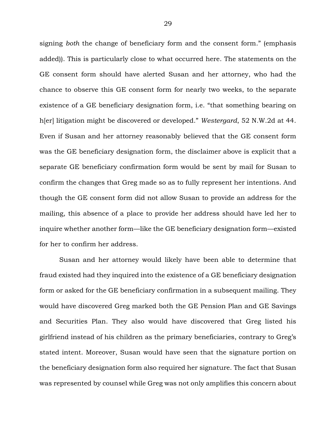signing *both* the change of beneficiary form and the consent form." (emphasis added)). This is particularly close to what occurred here. The statements on the GE consent form should have alerted Susan and her attorney, who had the chance to observe this GE consent form for nearly two weeks, to the separate existence of a GE beneficiary designation form, i.e. "that something bearing on h[er] litigation might be discovered or developed." *Westergard*, 52 N.W.2d at 44. Even if Susan and her attorney reasonably believed that the GE consent form was the GE beneficiary designation form, the disclaimer above is explicit that a separate GE beneficiary confirmation form would be sent by mail for Susan to confirm the changes that Greg made so as to fully represent her intentions. And though the GE consent form did not allow Susan to provide an address for the mailing, this absence of a place to provide her address should have led her to inquire whether another form—like the GE beneficiary designation form—existed for her to confirm her address.

Susan and her attorney would likely have been able to determine that fraud existed had they inquired into the existence of a GE beneficiary designation form or asked for the GE beneficiary confirmation in a subsequent mailing. They would have discovered Greg marked both the GE Pension Plan and GE Savings and Securities Plan. They also would have discovered that Greg listed his girlfriend instead of his children as the primary beneficiaries, contrary to Greg's stated intent. Moreover, Susan would have seen that the signature portion on the beneficiary designation form also required her signature. The fact that Susan was represented by counsel while Greg was not only amplifies this concern about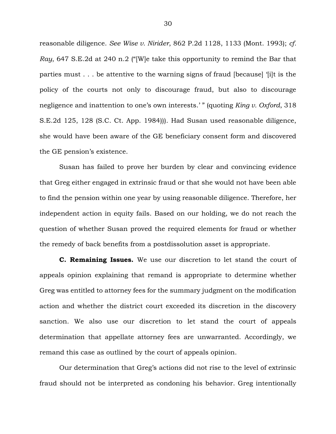reasonable diligence. *See Wise v. Nirider*, 862 P.2d 1128, 1133 (Mont. 1993); *cf. Ray*, 647 S.E.2d at 240 n.2 ("[W]e take this opportunity to remind the Bar that parties must . . . be attentive to the warning signs of fraud [because] '[i]t is the policy of the courts not only to discourage fraud, but also to discourage negligence and inattention to one's own interests.' " (quoting *King v. Oxford*, 318 S.E.2d 125, 128 (S.C. Ct. App. 1984))). Had Susan used reasonable diligence, she would have been aware of the GE beneficiary consent form and discovered the GE pension's existence.

Susan has failed to prove her burden by clear and convincing evidence that Greg either engaged in extrinsic fraud or that she would not have been able to find the pension within one year by using reasonable diligence. Therefore, her independent action in equity fails. Based on our holding, we do not reach the question of whether Susan proved the required elements for fraud or whether the remedy of back benefits from a postdissolution asset is appropriate.

**C. Remaining Issues.** We use our discretion to let stand the court of appeals opinion explaining that remand is appropriate to determine whether Greg was entitled to attorney fees for the summary judgment on the modification action and whether the district court exceeded its discretion in the discovery sanction. We also use our discretion to let stand the court of appeals determination that appellate attorney fees are unwarranted. Accordingly, we remand this case as outlined by the court of appeals opinion.

Our determination that Greg's actions did not rise to the level of extrinsic fraud should not be interpreted as condoning his behavior. Greg intentionally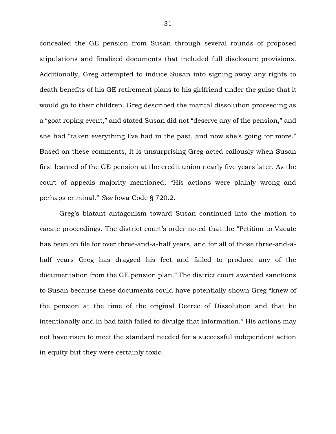concealed the GE pension from Susan through several rounds of proposed stipulations and finalized documents that included full disclosure provisions. Additionally, Greg attempted to induce Susan into signing away any rights to death benefits of his GE retirement plans to his girlfriend under the guise that it would go to their children. Greg described the marital dissolution proceeding as a "goat roping event," and stated Susan did not "deserve any of the pension," and she had "taken everything I've had in the past, and now she's going for more." Based on these comments, it is unsurprising Greg acted callously when Susan first learned of the GE pension at the credit union nearly five years later. As the court of appeals majority mentioned, "His actions were plainly wrong and perhaps criminal." *See* Iowa Code § 720.2.

Greg's blatant antagonism toward Susan continued into the motion to vacate proceedings. The district court's order noted that the "Petition to Vacate has been on file for over three-and-a-half years, and for all of those three-and-ahalf years Greg has dragged his feet and failed to produce any of the documentation from the GE pension plan." The district court awarded sanctions to Susan because these documents could have potentially shown Greg "knew of the pension at the time of the original Decree of Dissolution and that he intentionally and in bad faith failed to divulge that information." His actions may not have risen to meet the standard needed for a successful independent action in equity but they were certainly toxic.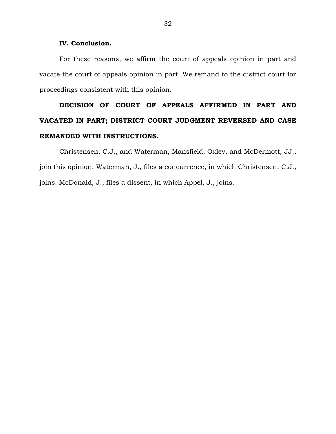## **IV. Conclusion.**

For these reasons, we affirm the court of appeals opinion in part and vacate the court of appeals opinion in part. We remand to the district court for proceedings consistent with this opinion.

# **DECISION OF COURT OF APPEALS AFFIRMED IN PART AND VACATED IN PART; DISTRICT COURT JUDGMENT REVERSED AND CASE REMANDED WITH INSTRUCTIONS.**

Christensen, C.J., and Waterman, Mansfield, Oxley, and McDermott, JJ., join this opinion. Waterman, J., files a concurrence, in which Christensen, C.J., joins. McDonald, J., files a dissent, in which Appel, J., joins.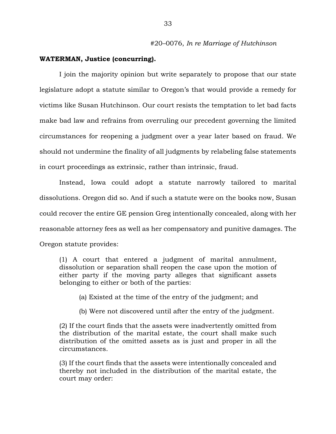### **WATERMAN, Justice (concurring).**

I join the majority opinion but write separately to propose that our state legislature adopt a statute similar to Oregon's that would provide a remedy for victims like Susan Hutchinson. Our court resists the temptation to let bad facts make bad law and refrains from overruling our precedent governing the limited circumstances for reopening a judgment over a year later based on fraud. We should not undermine the finality of all judgments by relabeling false statements in court proceedings as extrinsic, rather than intrinsic, fraud.

Instead, Iowa could adopt a statute narrowly tailored to marital dissolutions. Oregon did so. And if such a statute were on the books now, Susan could recover the entire GE pension Greg intentionally concealed, along with her reasonable attorney fees as well as her compensatory and punitive damages. The Oregon statute provides:

(1) A court that entered a judgment of marital annulment, dissolution or separation shall reopen the case upon the motion of either party if the moving party alleges that significant assets belonging to either or both of the parties:

(a) Existed at the time of the entry of the judgment; and

(b) Were not discovered until after the entry of the judgment.

(2) If the court finds that the assets were inadvertently omitted from the distribution of the marital estate, the court shall make such distribution of the omitted assets as is just and proper in all the circumstances.

(3) If the court finds that the assets were intentionally concealed and thereby not included in the distribution of the marital estate, the court may order: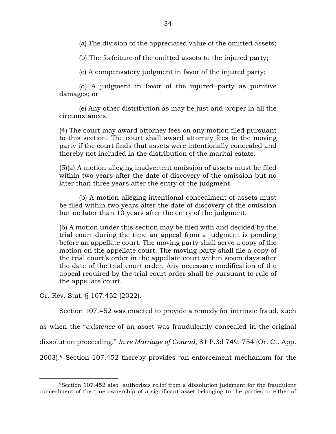(a) The division of the appreciated value of the omitted assets;

(b) The forfeiture of the omitted assets to the injured party;

(c) A compensatory judgment in favor of the injured party;

(d) A judgment in favor of the injured party as punitive damages; or

(e) Any other distribution as may be just and proper in all the circumstances.

(4) The court may award attorney fees on any motion filed pursuant to this section. The court shall award attorney fees to the moving party if the court finds that assets were intentionally concealed and thereby not included in the distribution of the marital estate.

(5)(a) A motion alleging inadvertent omission of assets must be filed within two years after the date of discovery of the omission but no later than three years after the entry of the judgment.

(b) A motion alleging intentional concealment of assets must be filed within two years after the date of discovery of the omission but no later than 10 years after the entry of the judgment.

(6) A motion under this section may be filed with and decided by the trial court during the time an appeal from a judgment is pending before an appellate court. The moving party shall serve a copy of the motion on the appellate court. The moving party shall file a copy of the trial court's order in the appellate court within seven days after the date of the trial court order. Any necessary modification of the appeal required by the trial court order shall be pursuant to rule of the appellate court.

Or. Rev. Stat. § 107.452 (2022).

 $\overline{a}$ 

Section 107.452 was enacted to provide a remedy for intrinsic fraud, such

as when the "*existence* of an asset was fraudulently concealed in the original

dissolution proceeding." *In re Marriage of Conrad*, 81 P.3d 749, 754 (Or. Ct. App.

2003).<sup>9</sup> Section 107.452 thereby provides "an enforcement mechanism for the

<sup>9</sup>Section 107.452 also "authorizes relief from a dissolution judgment for the fraudulent concealment of the true ownership of a significant asset belonging to the parties or either of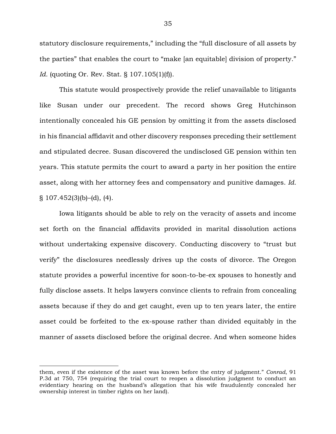statutory disclosure requirements," including the "full disclosure of all assets by the parties" that enables the court to "make [an equitable] division of property." *Id.* (quoting Or. Rev. Stat. § 107.105(1)(f)).

This statute would prospectively provide the relief unavailable to litigants like Susan under our precedent. The record shows Greg Hutchinson intentionally concealed his GE pension by omitting it from the assets disclosed in his financial affidavit and other discovery responses preceding their settlement and stipulated decree. Susan discovered the undisclosed GE pension within ten years. This statute permits the court to award a party in her position the entire asset, along with her attorney fees and compensatory and punitive damages. *Id.*  $\S$  107.452(3)(b)–(d), (4).

Iowa litigants should be able to rely on the veracity of assets and income set forth on the financial affidavits provided in marital dissolution actions without undertaking expensive discovery. Conducting discovery to "trust but verify" the disclosures needlessly drives up the costs of divorce. The Oregon statute provides a powerful incentive for soon-to-be-ex spouses to honestly and fully disclose assets. It helps lawyers convince clients to refrain from concealing assets because if they do and get caught, even up to ten years later, the entire asset could be forfeited to the ex-spouse rather than divided equitably in the manner of assets disclosed before the original decree. And when someone hides

them, even if the existence of the asset was known before the entry of judgment." *Conrad*, 91 P.3d at 750, 754 (requiring the trial court to reopen a dissolution judgment to conduct an evidentiary hearing on the husband's allegation that his wife fraudulently concealed her ownership interest in timber rights on her land).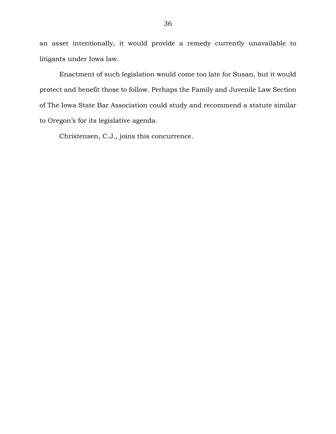an asset intentionally, it would provide a remedy currently unavailable to litigants under Iowa law.

Enactment of such legislation would come too late for Susan, but it would protect and benefit those to follow. Perhaps the Family and Juvenile Law Section of The Iowa State Bar Association could study and recommend a statute similar to Oregon's for its legislative agenda.

Christensen, C.J., joins this concurrence.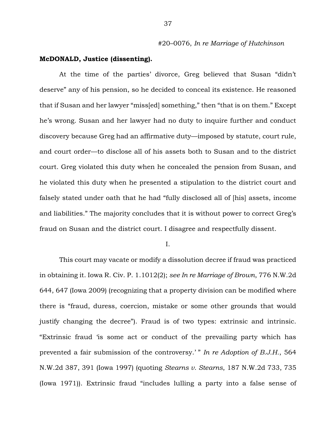## **McDONALD, Justice (dissenting).**

At the time of the parties' divorce, Greg believed that Susan "didn't deserve" any of his pension, so he decided to conceal its existence. He reasoned that if Susan and her lawyer "miss[ed] something," then "that is on them." Except he's wrong. Susan and her lawyer had no duty to inquire further and conduct discovery because Greg had an affirmative duty—imposed by statute, court rule, and court order—to disclose all of his assets both to Susan and to the district court. Greg violated this duty when he concealed the pension from Susan, and he violated this duty when he presented a stipulation to the district court and falsely stated under oath that he had "fully disclosed all of [his] assets, income and liabilities." The majority concludes that it is without power to correct Greg's fraud on Susan and the district court. I disagree and respectfully dissent.

I.

This court may vacate or modify a dissolution decree if fraud was practiced in obtaining it. Iowa R. Civ. P. 1.1012(2); *see In re Marriage of Brown*, 776 N.W.2d 644, 647 (Iowa 2009) (recognizing that a property division can be modified where there is "fraud, duress, coercion, mistake or some other grounds that would justify changing the decree"). Fraud is of two types: extrinsic and intrinsic. "Extrinsic fraud 'is some act or conduct of the prevailing party which has prevented a fair submission of the controversy.' " *In re Adoption of B.J.H.*, 564 N.W.2d 387, 391 (Iowa 1997) (quoting *Stearns v. Stearns*, 187 N.W.2d 733, 735 (Iowa 1971)). Extrinsic fraud "includes lulling a party into a false sense of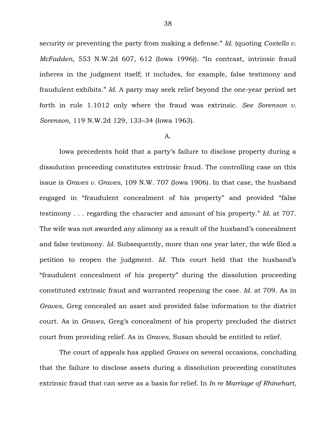security or preventing the party from making a defense." *Id.* (quoting *Costello v. McFadden*, 553 N.W.2d 607, 612 (Iowa 1996)). "In contrast, intrinsic fraud inheres in the judgment itself; it includes, for example, false testimony and fraudulent exhibits." *Id.* A party may seek relief beyond the one-year period set forth in rule 1.1012 only where the fraud was extrinsic. *See Sorenson v. Sorenson*, 119 N.W.2d 129, 133–34 (Iowa 1963).

#### A.

Iowa precedents hold that a party's failure to disclose property during a dissolution proceeding constitutes extrinsic fraud. The controlling case on this issue is *Graves v. Graves*, 109 N.W. 707 (Iowa 1906). In that case, the husband engaged in "fraudulent concealment of his property" and provided "false testimony . . . regarding the character and amount of his property." *Id.* at 707. The wife was not awarded any alimony as a result of the husband's concealment and false testimony. *Id.* Subsequently, more than one year later, the wife filed a petition to reopen the judgment. *Id.* This court held that the husband's "fraudulent concealment of his property" during the dissolution proceeding constituted extrinsic fraud and warranted reopening the case. *Id.* at 709. As in *Graves*, Greg concealed an asset and provided false information to the district court. As in *Graves*, Greg's concealment of his property precluded the district court from providing relief. As in *Graves*, Susan should be entitled to relief.

The court of appeals has applied *Graves* on several occasions, concluding that the failure to disclose assets during a dissolution proceeding constitutes extrinsic fraud that can serve as a basis for relief. In *In re Marriage of Rhinehart*,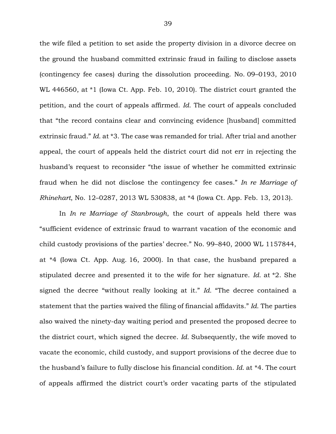the wife filed a petition to set aside the property division in a divorce decree on the ground the husband committed extrinsic fraud in failing to disclose assets (contingency fee cases) during the dissolution proceeding. No. 09–0193, 2010 WL 446560, at \*1 (Iowa Ct. App. Feb. 10, 2010). The district court granted the petition, and the court of appeals affirmed. *Id.* The court of appeals concluded that "the record contains clear and convincing evidence [husband] committed extrinsic fraud." *Id.* at \*3. The case was remanded for trial. After trial and another appeal, the court of appeals held the district court did not err in rejecting the husband's request to reconsider "the issue of whether he committed extrinsic fraud when he did not disclose the contingency fee cases." *In re Marriage of Rhinehart*, No. 12–0287, 2013 WL 530838, at \*4 (Iowa Ct. App. Feb. 13, 2013).

In *In re Marriage of Stanbrough*, the court of appeals held there was "sufficient evidence of extrinsic fraud to warrant vacation of the economic and child custody provisions of the parties' decree." No. 99–840, 2000 WL 1157844, at \*4 (Iowa Ct. App. Aug. 16, 2000). In that case, the husband prepared a stipulated decree and presented it to the wife for her signature. *Id.* at \*2. She signed the decree "without really looking at it." *Id.* "The decree contained a statement that the parties waived the filing of financial affidavits." *Id.* The parties also waived the ninety-day waiting period and presented the proposed decree to the district court, which signed the decree. *Id.* Subsequently, the wife moved to vacate the economic, child custody, and support provisions of the decree due to the husband's failure to fully disclose his financial condition. *Id.* at \*4. The court of appeals affirmed the district court's order vacating parts of the stipulated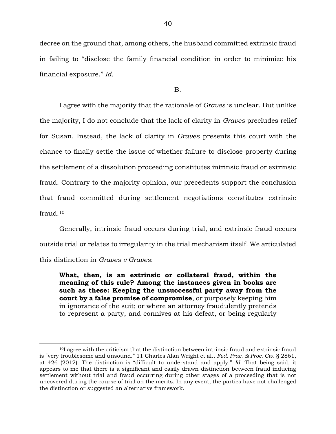decree on the ground that, among others, the husband committed extrinsic fraud in failing to "disclose the family financial condition in order to minimize his financial exposure." *Id.*

B.

I agree with the majority that the rationale of *Graves* is unclear. But unlike the majority, I do not conclude that the lack of clarity in *Graves* precludes relief for Susan. Instead, the lack of clarity in *Graves* presents this court with the chance to finally settle the issue of whether failure to disclose property during the settlement of a dissolution proceeding constitutes intrinsic fraud or extrinsic fraud. Contrary to the majority opinion, our precedents support the conclusion that fraud committed during settlement negotiations constitutes extrinsic fraud.<sup>10</sup>

Generally, intrinsic fraud occurs during trial, and extrinsic fraud occurs outside trial or relates to irregularity in the trial mechanism itself. We articulated this distinction in *Graves v Graves*:

**What, then, is an extrinsic or collateral fraud, within the meaning of this rule? Among the instances given in books are such as these: Keeping the unsuccessful party away from the court by a false promise of compromise**, or purposely keeping him in ignorance of the suit; or where an attorney fraudulently pretends to represent a party, and connives at his defeat, or being regularly

<sup>10</sup>I agree with the criticism that the distinction between intrinsic fraud and extrinsic fraud is "very troublesome and unsound." 11 Charles Alan Wright et al., *Fed. Prac. & Proc. Civ.* § 2861, at 426 (2012). The distinction is "difficult to understand and apply." *Id.* That being said, it appears to me that there is a significant and easily drawn distinction between fraud inducing settlement without trial and fraud occurring during other stages of a proceeding that is not uncovered during the course of trial on the merits. In any event, the parties have not challenged the distinction or suggested an alternative framework.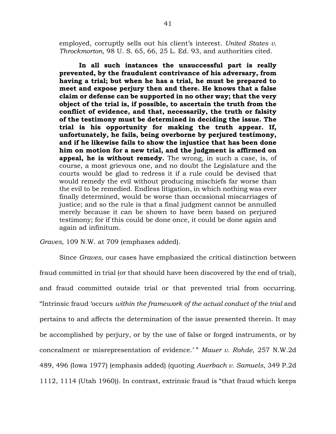employed, corruptly sells out his client's interest. *United States v. Throckmorton*, 98 U. S. 65, 66, 25 L. Ed. 93, and authorities cited.

**In all such instances the unsuccessful part is really prevented, by the fraudulent contrivance of his adversary, from having a trial; but when he has a trial, he must be prepared to meet and expose perjury then and there. He knows that a false claim or defense can be supported in no other way; that the very object of the trial is, if possible, to ascertain the truth from the conflict of evidence, and that, necessarily, the truth or falsity of the testimony must be determined in deciding the issue. The trial is his opportunity for making the truth appear. If, unfortunately, he fails, being overborne by perjured testimony, and if he likewise fails to show the injustice that has been done him on motion for a new trial, and the judgment is affirmed on appeal, he is without remedy.** The wrong, in such a case, is, of course, a most grievous one, and no doubt the Legislature and the courts would be glad to redress it if a rule could be devised that would remedy the evil without producing mischiefs far worse than the evil to be remedied. Endless litigation, in which nothing was ever finally determined, would be worse than occasional miscarriages of justice; and so the rule is that a final judgment cannot be annulled merely because it can be shown to have been based on perjured testimony; for if this could be done once, it could be done again and again ad infinitum.

*Graves*, 109 N.W. at 709 (emphases added).

Since *Graves*, our cases have emphasized the critical distinction between fraud committed in trial (or that should have been discovered by the end of trial), and fraud committed outside trial or that prevented trial from occurring. "Intrinsic fraud 'occurs *within the framework of the actual conduct of the trial* and pertains to and affects the determination of the issue presented therein. It may be accomplished by perjury, or by the use of false or forged instruments, or by concealment or misrepresentation of evidence.' " *Mauer v. Rohde*, 257 N.W.2d 489, 496 (Iowa 1977) (emphasis added) (quoting *Auerbach v. Samuels*, 349 P.2d 1112, 1114 (Utah 1960)). In contrast, extrinsic fraud is "that fraud which keeps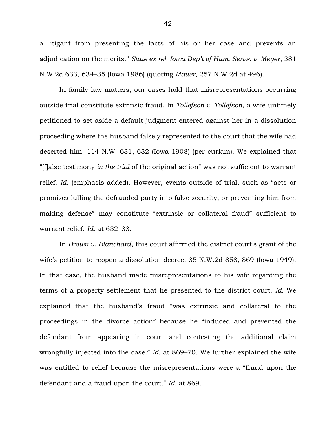a litigant from presenting the facts of his or her case and prevents an adjudication on the merits." *State ex rel. Iowa Dep't of Hum. Servs. v. Meyer*, 381 N.W.2d 633, 634–35 (Iowa 1986) (quoting *Mauer*, 257 N.W.2d at 496).

In family law matters, our cases hold that misrepresentations occurring outside trial constitute extrinsic fraud. In *Tollefson v. Tollefson*, a wife untimely petitioned to set aside a default judgment entered against her in a dissolution proceeding where the husband falsely represented to the court that the wife had deserted him. 114 N.W. 631, 632 (Iowa 1908) (per curiam). We explained that "[f]alse testimony *in the trial* of the original action" was not sufficient to warrant relief. *Id.* (emphasis added). However, events outside of trial, such as "acts or promises lulling the defrauded party into false security, or preventing him from making defense" may constitute "extrinsic or collateral fraud" sufficient to warrant relief. *Id.* at 632–33.

In *Brown v. Blanchard*, this court affirmed the district court's grant of the wife's petition to reopen a dissolution decree. 35 N.W.2d 858, 869 (Iowa 1949). In that case, the husband made misrepresentations to his wife regarding the terms of a property settlement that he presented to the district court. *Id.* We explained that the husband's fraud "was extrinsic and collateral to the proceedings in the divorce action" because he "induced and prevented the defendant from appearing in court and contesting the additional claim wrongfully injected into the case." *Id.* at 869–70. We further explained the wife was entitled to relief because the misrepresentations were a "fraud upon the defendant and a fraud upon the court." *Id.* at 869.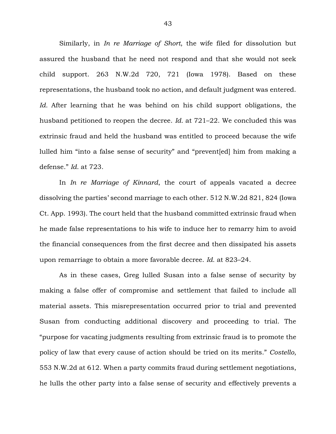Similarly, in *In re Marriage of Short*, the wife filed for dissolution but assured the husband that he need not respond and that she would not seek child support. 263 N.W.2d 720, 721 (Iowa 1978). Based on these representations, the husband took no action, and default judgment was entered. *Id.* After learning that he was behind on his child support obligations, the husband petitioned to reopen the decree. *Id.* at 721–22. We concluded this was extrinsic fraud and held the husband was entitled to proceed because the wife lulled him "into a false sense of security" and "prevent[ed] him from making a defense." *Id.* at 723.

In *In re Marriage of Kinnard*, the court of appeals vacated a decree dissolving the parties' second marriage to each other. 512 N.W.2d 821, 824 (Iowa Ct. App. 1993). The court held that the husband committed extrinsic fraud when he made false representations to his wife to induce her to remarry him to avoid the financial consequences from the first decree and then dissipated his assets upon remarriage to obtain a more favorable decree. *Id.* at 823–24.

As in these cases, Greg lulled Susan into a false sense of security by making a false offer of compromise and settlement that failed to include all material assets. This misrepresentation occurred prior to trial and prevented Susan from conducting additional discovery and proceeding to trial. The "purpose for vacating judgments resulting from extrinsic fraud is to promote the policy of law that every cause of action should be tried on its merits." *Costello*, 553 N.W.2d at 612. When a party commits fraud during settlement negotiations, he lulls the other party into a false sense of security and effectively prevents a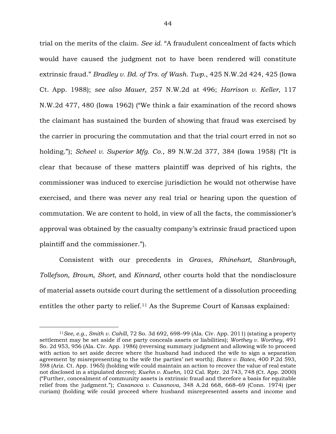trial on the merits of the claim. *See id.* "A fraudulent concealment of facts which would have caused the judgment not to have been rendered will constitute extrinsic fraud." *Bradley v. Bd. of Trs. of Wash. Twp.*, 425 N.W.2d 424, 425 (Iowa Ct. App. 1988); *see also Mauer*, 257 N.W.2d at 496; *Harrison v. Keller*, 117 N.W.2d 477, 480 (Iowa 1962) ("We think a fair examination of the record shows the claimant has sustained the burden of showing that fraud was exercised by the carrier in procuring the commutation and that the trial court erred in not so holding."); *Scheel v. Superior Mfg. Co.*, 89 N.W.2d 377, 384 (Iowa 1958) ("It is clear that because of these matters plaintiff was deprived of his rights, the commissioner was induced to exercise jurisdiction he would not otherwise have exercised, and there was never any real trial or hearing upon the question of commutation. We are content to hold, in view of all the facts, the commissioner's approval was obtained by the casualty company's extrinsic fraud practiced upon plaintiff and the commissioner.").

Consistent with our precedents in *Graves*, *Rhinehart*, *Stanbrough*, *Tollefson*, *Brown*, *Short*, and *Kinnard*, other courts hold that the nondisclosure of material assets outside court during the settlement of a dissolution proceeding entitles the other party to relief.<sup>11</sup> As the Supreme Court of Kansas explained:

<sup>11</sup>*See, e.g.*, *Smith v. Cahill*, 72 So. 3d 692, 698–99 (Ala. Civ. App. 2011) (stating a property settlement may be set aside if one party conceals assets or liabilities); *Worthey v. Worthey*, 491 So. 2d 953, 956 (Ala. Civ. App. 1986) (reversing summary judgment and allowing wife to proceed with action to set aside decree where the husband had induced the wife to sign a separation agreement by misrepresenting to the wife the parties' net worth); *Bates v. Bates*, 400 P.2d 593, 598 (Ariz. Ct. App. 1965) (holding wife could maintain an action to recover the value of real estate not disclosed in a stipulated decree); *Kuehn v. Kuehn*, 102 Cal. Rptr. 2d 743, 748 (Ct. App. 2000) ("Further, concealment of community assets is extrinsic fraud and therefore a basis for equitable relief from the judgment."); *Casanova v. Casanova*, 348 A.2d 668, 668–69 (Conn. 1974) (per curiam) (holding wife could proceed where husband misrepresented assets and income and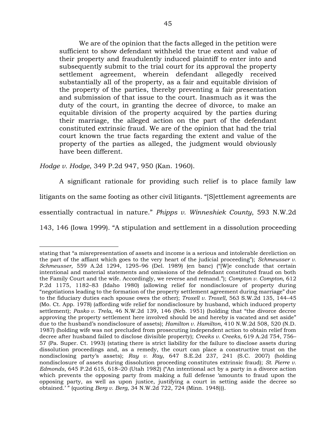We are of the opinion that the facts alleged in the petition were sufficient to show defendant withheld the true extent and value of their property and fraudulently induced plaintiff to enter into and subsequently submit to the trial court for its approval the property settlement agreement, wherein defendant allegedly received substantially all of the property, as a fair and equitable division of the property of the parties, thereby preventing a fair presentation and submission of that issue to the court. Inasmuch as it was the duty of the court, in granting the decree of divorce, to make an equitable division of the property acquired by the parties during their marriage, the alleged action on the part of the defendant constituted extrinsic fraud. We are of the opinion that had the trial court known the true facts regarding the extent and value of the property of the parties as alleged, the judgment would obviously have been different.

*Hodge v. Hodge*, 349 P.2d 947, 950 (Kan. 1960).

 $\overline{a}$ 

A significant rationale for providing such relief is to place family law litigants on the same footing as other civil litigants. "[S]ettlement agreements are essentially contractual in nature." *Phipps v. Winneshiek County*, 593 N.W.2d 143, 146 (Iowa 1999). "A stipulation and settlement in a dissolution proceeding

stating that "a misrepresentation of assets and income is a serious and intolerable dereliction on the part of the affiant which goes to the very heart of the judicial proceeding"); *Schmeusser v. Schmeusser*, 559 A.2d 1294, 1295–96 (Del. 1989) (en banc) ("[W]e conclude that certain intentional and material statements and omissions of the defendant constituted fraud on both the Family Court and the wife. Accordingly, we reverse and remand."); *Compton v. Compton*, 612 P.2d 1175, 1182–83 (Idaho 1980) (allowing relief for nondisclosure of property during "negotiations leading to the formation of the property settlement agreement during marriage" due to the fiduciary duties each spouse owes the other); *Troxell v. Troxell*, 563 S.W.2d 135, 144–45 (Mo. Ct. App. 1978) (affording wife relief for nondisclosure by husband, which induced property settlement); *Pasko v. Trela*, 46 N.W.2d 139, 146 (Neb. 1951) (holding that "the divorce decree approving the property settlement here involved should be and hereby is vacated and set aside" due to the husband's nondisclosure of assets); *Hamilton v. Hamilton*, 410 N.W.2d 508, 520 (N.D. 1987) (holding wife was not precluded from prosecuting independent action to obtain relief from decree after husband failed to disclose divisible property); *Creeks v. Creeks*, 619 A.2d 754, 756– 57 (Pa. Super. Ct. 1993) (stating there is strict liability for the failure to disclose assets during dissolution proceedings and, as a remedy, the court can place a constructive trust on the nondisclosing party's assets); *Ray v. Ray*, 647 S.E.2d 237, 241 (S.C. 2007) (holding nondisclosure of assets during dissolution proceeding constitutes extrinsic fraud); *St. Pierre v. Edmonds*, 645 P.2d 615, 618–20 (Utah 1982) ("An intentional act by a party in a divorce action which prevents the opposing party from making a full defense 'amounts to fraud upon the opposing party, as well as upon justice, justifying a court in setting aside the decree so obtained.' " (quoting *Berg v. Berg*, 34 N.W.2d 722, 724 (Minn. 1948))).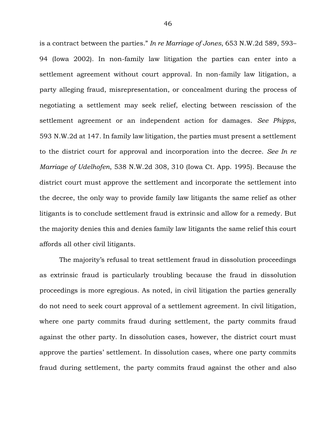is a contract between the parties." *In re Marriage of Jones*, 653 N.W.2d 589, 593– 94 (Iowa 2002). In non-family law litigation the parties can enter into a settlement agreement without court approval. In non-family law litigation, a party alleging fraud, misrepresentation, or concealment during the process of negotiating a settlement may seek relief, electing between rescission of the settlement agreement or an independent action for damages. *See Phipps*, 593 N.W.2d at 147. In family law litigation, the parties must present a settlement to the district court for approval and incorporation into the decree. *See In re Marriage of Udelhofen*, 538 N.W.2d 308, 310 (Iowa Ct. App. 1995). Because the district court must approve the settlement and incorporate the settlement into the decree, the only way to provide family law litigants the same relief as other litigants is to conclude settlement fraud is extrinsic and allow for a remedy. But the majority denies this and denies family law litigants the same relief this court affords all other civil litigants.

The majority's refusal to treat settlement fraud in dissolution proceedings as extrinsic fraud is particularly troubling because the fraud in dissolution proceedings is more egregious. As noted, in civil litigation the parties generally do not need to seek court approval of a settlement agreement. In civil litigation, where one party commits fraud during settlement, the party commits fraud against the other party. In dissolution cases, however, the district court must approve the parties' settlement. In dissolution cases, where one party commits fraud during settlement, the party commits fraud against the other and also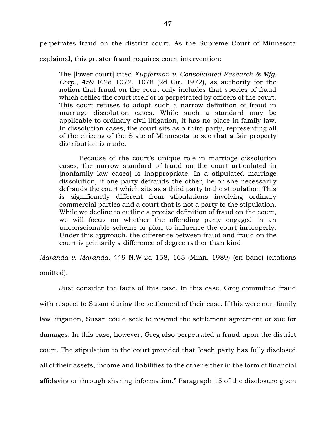perpetrates fraud on the district court. As the Supreme Court of Minnesota

explained, this greater fraud requires court intervention:

The [lower court] cited *Kupferman v. Consolidated Research & Mfg. Corp.*, 459 F.2d 1072, 1078 (2d Cir. 1972), as authority for the notion that fraud on the court only includes that species of fraud which defiles the court itself or is perpetrated by officers of the court. This court refuses to adopt such a narrow definition of fraud in marriage dissolution cases. While such a standard may be applicable to ordinary civil litigation, it has no place in family law. In dissolution cases, the court sits as a third party, representing all of the citizens of the State of Minnesota to see that a fair property distribution is made.

Because of the court's unique role in marriage dissolution cases, the narrow standard of fraud on the court articulated in [nonfamily law cases] is inappropriate. In a stipulated marriage dissolution, if one party defrauds the other, he or she necessarily defrauds the court which sits as a third party to the stipulation. This is significantly different from stipulations involving ordinary commercial parties and a court that is not a party to the stipulation. While we decline to outline a precise definition of fraud on the court, we will focus on whether the offending party engaged in an unconscionable scheme or plan to influence the court improperly. Under this approach, the difference between fraud and fraud on the court is primarily a difference of degree rather than kind.

*Maranda v. Maranda*, 449 N.W.2d 158, 165 (Minn. 1989) (en banc) (citations omitted).

Just consider the facts of this case. In this case, Greg committed fraud with respect to Susan during the settlement of their case. If this were non-family law litigation, Susan could seek to rescind the settlement agreement or sue for damages. In this case, however, Greg also perpetrated a fraud upon the district court. The stipulation to the court provided that "each party has fully disclosed all of their assets, income and liabilities to the other either in the form of financial affidavits or through sharing information." Paragraph 15 of the disclosure given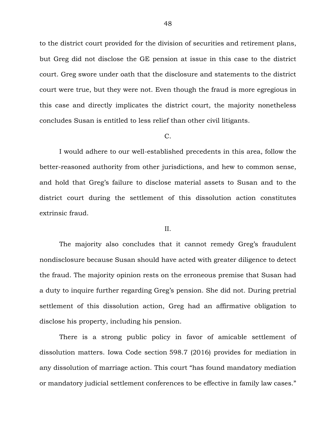to the district court provided for the division of securities and retirement plans, but Greg did not disclose the GE pension at issue in this case to the district court. Greg swore under oath that the disclosure and statements to the district court were true, but they were not. Even though the fraud is more egregious in this case and directly implicates the district court, the majority nonetheless concludes Susan is entitled to less relief than other civil litigants.

#### C.

I would adhere to our well-established precedents in this area, follow the better-reasoned authority from other jurisdictions, and hew to common sense, and hold that Greg's failure to disclose material assets to Susan and to the district court during the settlement of this dissolution action constitutes extrinsic fraud.

#### II.

The majority also concludes that it cannot remedy Greg's fraudulent nondisclosure because Susan should have acted with greater diligence to detect the fraud. The majority opinion rests on the erroneous premise that Susan had a duty to inquire further regarding Greg's pension. She did not. During pretrial settlement of this dissolution action, Greg had an affirmative obligation to disclose his property, including his pension.

There is a strong public policy in favor of amicable settlement of dissolution matters. Iowa Code section 598.7 (2016) provides for mediation in any dissolution of marriage action. This court "has found mandatory mediation or mandatory judicial settlement conferences to be effective in family law cases."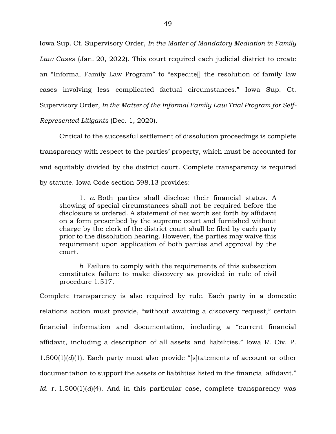Iowa Sup. Ct. Supervisory Order, *In the Matter of Mandatory Mediation in Family Law Cases* (Jan. 20, 2022). This court required each judicial district to create an "Informal Family Law Program" to "expedite[] the resolution of family law cases involving less complicated factual circumstances." Iowa Sup. Ct. Supervisory Order, *In the Matter of the Informal Family Law Trial Program for Self-Represented Litigants* (Dec. 1, 2020).

Critical to the successful settlement of dissolution proceedings is complete transparency with respect to the parties' property, which must be accounted for and equitably divided by the district court. Complete transparency is required by statute. Iowa Code section 598.13 provides:

1. *a.* Both parties shall disclose their financial status. A showing of special circumstances shall not be required before the disclosure is ordered. A statement of net worth set forth by affidavit on a form prescribed by the supreme court and furnished without charge by the clerk of the district court shall be filed by each party prior to the dissolution hearing. However, the parties may waive this requirement upon application of both parties and approval by the court.

*b.* Failure to comply with the requirements of this subsection constitutes failure to make discovery as provided in rule of civil procedure 1.517.

Complete transparency is also required by rule. Each party in a domestic relations action must provide, "without awaiting a discovery request," certain financial information and documentation, including a "current financial affidavit, including a description of all assets and liabilities." Iowa R. Civ. P. 1.500(1)(*d*)(1). Each party must also provide "[s]tatements of account or other documentation to support the assets or liabilities listed in the financial affidavit." *Id.* r. 1.500(1)(*d*)(4). And in this particular case, complete transparency was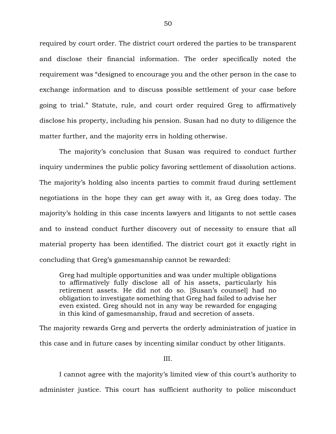required by court order. The district court ordered the parties to be transparent and disclose their financial information. The order specifically noted the requirement was "designed to encourage you and the other person in the case to exchange information and to discuss possible settlement of your case before going to trial." Statute, rule, and court order required Greg to affirmatively disclose his property, including his pension. Susan had no duty to diligence the matter further, and the majority errs in holding otherwise.

The majority's conclusion that Susan was required to conduct further inquiry undermines the public policy favoring settlement of dissolution actions. The majority's holding also incents parties to commit fraud during settlement negotiations in the hope they can get away with it, as Greg does today. The majority's holding in this case incents lawyers and litigants to not settle cases and to instead conduct further discovery out of necessity to ensure that all material property has been identified. The district court got it exactly right in concluding that Greg's gamesmanship cannot be rewarded:

Greg had multiple opportunities and was under multiple obligations to affirmatively fully disclose all of his assets, particularly his retirement assets. He did not do so. [Susan's counsel] had no obligation to investigate something that Greg had failed to advise her even existed. Greg should not in any way be rewarded for engaging in this kind of gamesmanship, fraud and secretion of assets.

The majority rewards Greg and perverts the orderly administration of justice in this case and in future cases by incenting similar conduct by other litigants.

III.

I cannot agree with the majority's limited view of this court's authority to administer justice. This court has sufficient authority to police misconduct